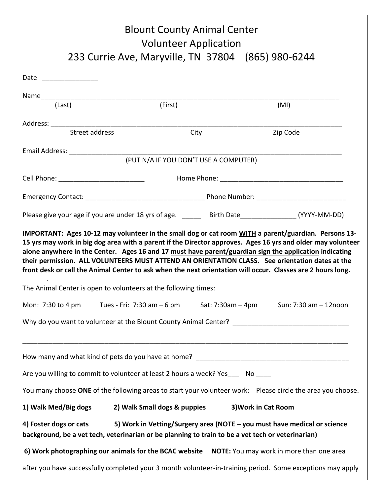| <b>Blount County Animal Center</b><br><b>Volunteer Application</b><br>233 Currie Ave, Maryville, TN 37804 (865) 980-6244                                                                                                                                                                                                                                                                                                                                                                                                                                                                                           |                                          |                     |                                         |
|--------------------------------------------------------------------------------------------------------------------------------------------------------------------------------------------------------------------------------------------------------------------------------------------------------------------------------------------------------------------------------------------------------------------------------------------------------------------------------------------------------------------------------------------------------------------------------------------------------------------|------------------------------------------|---------------------|-----------------------------------------|
|                                                                                                                                                                                                                                                                                                                                                                                                                                                                                                                                                                                                                    |                                          |                     |                                         |
| (Last)                                                                                                                                                                                                                                                                                                                                                                                                                                                                                                                                                                                                             | (First)                                  |                     | (MI)                                    |
| Street address                                                                                                                                                                                                                                                                                                                                                                                                                                                                                                                                                                                                     | City                                     |                     | Zip Code                                |
| (PUT N/A IF YOU DON'T USE A COMPUTER)                                                                                                                                                                                                                                                                                                                                                                                                                                                                                                                                                                              |                                          |                     |                                         |
|                                                                                                                                                                                                                                                                                                                                                                                                                                                                                                                                                                                                                    |                                          |                     |                                         |
|                                                                                                                                                                                                                                                                                                                                                                                                                                                                                                                                                                                                                    | Cell Phone: ____________________________ |                     |                                         |
|                                                                                                                                                                                                                                                                                                                                                                                                                                                                                                                                                                                                                    |                                          |                     |                                         |
| Please give your age if you are under 18 yrs of age. ______ Birth Date_______________(YYYY-MM-DD)                                                                                                                                                                                                                                                                                                                                                                                                                                                                                                                  |                                          |                     |                                         |
| IMPORTANT: Ages 10-12 may volunteer in the small dog or cat room WITH a parent/guardian. Persons 13-<br>15 yrs may work in big dog area with a parent if the Director approves. Ages 16 yrs and older may volunteer<br>alone anywhere in the Center. Ages 16 and 17 must have parent/guardian sign the application indicating<br>their permission. ALL VOLUNTEERS MUST ATTEND AN ORIENTATION CLASS. See orientation dates at the<br>front desk or call the Animal Center to ask when the next orientation will occur. Classes are 2 hours long.<br>The Animal Center is open to volunteers at the following times: |                                          |                     |                                         |
| Mon: 7:30 to 4 pm Tues - Fri: 7:30 am $-6$ pm                                                                                                                                                                                                                                                                                                                                                                                                                                                                                                                                                                      |                                          |                     | Sat: 7:30am - 4pm Sun: 7:30 am - 12noon |
| Why do you want to volunteer at the Blount County Animal Center? ___________________________________                                                                                                                                                                                                                                                                                                                                                                                                                                                                                                               |                                          |                     |                                         |
|                                                                                                                                                                                                                                                                                                                                                                                                                                                                                                                                                                                                                    |                                          |                     |                                         |
| Are you willing to commit to volunteer at least 2 hours a week? Yes___ No ____                                                                                                                                                                                                                                                                                                                                                                                                                                                                                                                                     |                                          |                     |                                         |
| You many choose ONE of the following areas to start your volunteer work: Please circle the area you choose.                                                                                                                                                                                                                                                                                                                                                                                                                                                                                                        |                                          |                     |                                         |
| 1) Walk Med/Big dogs                                                                                                                                                                                                                                                                                                                                                                                                                                                                                                                                                                                               | 2) Walk Small dogs & puppies             | 3) Work in Cat Room |                                         |
| 5) Work in Vetting/Surgery area (NOTE - you must have medical or science<br>4) Foster dogs or cats<br>background, be a vet tech, veterinarian or be planning to train to be a vet tech or veterinarian)                                                                                                                                                                                                                                                                                                                                                                                                            |                                          |                     |                                         |
| 6) Work photographing our animals for the BCAC website  NOTE: You may work in more than one area                                                                                                                                                                                                                                                                                                                                                                                                                                                                                                                   |                                          |                     |                                         |
| after you have successfully completed your 3 month volunteer-in-training period. Some exceptions may apply                                                                                                                                                                                                                                                                                                                                                                                                                                                                                                         |                                          |                     |                                         |